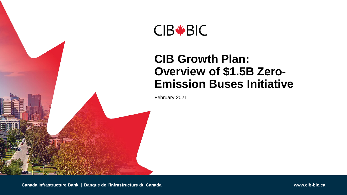

### **CIB Growth Plan: Overview of \$1.5B Zero-Emission Buses Initiative**

February 2021

**Canada Infrastructure Bank | Banque de l'infrastructure du Canada www.cib-bic.ca**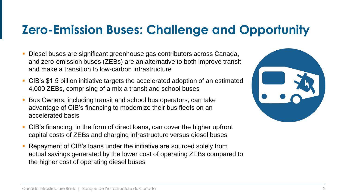### **Zero-Emission Buses: Challenge and Opportunity**

- Diesel buses are significant greenhouse gas contributors across Canada, and zero-emission buses (ZEBs) are an alternative to both improve transit and make a transition to low-carbon infrastructure
- CIB's \$1.5 billion initiative targets the accelerated adoption of an estimated 4,000 ZEBs, comprising of a mix a transit and school buses
- Bus Owners, including transit and school bus operators, can take advantage of CIB's financing to modernize their bus fleets on an accelerated basis
- CIB's financing, in the form of direct loans, can cover the higher upfront capital costs of ZEBs and charging infrastructure versus diesel buses
- Repayment of CIB's loans under the initiative are sourced solely from actual savings generated by the lower cost of operating ZEBs compared to the higher cost of operating diesel buses

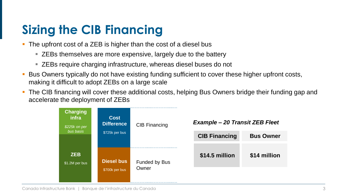## **Sizing the CIB Financing**

- The upfront cost of a ZEB is higher than the cost of a diesel bus
	- ZEBs themselves are more expensive, largely due to the battery
	- ZEBs require charging infrastructure, whereas diesel buses do not
- Bus Owners typically do not have existing funding sufficient to cover these higher upfront costs, making it difficult to adopt ZEBs on a large scale
- The CIB financing will cover these additional costs, helping Bus Owners bridge their funding gap and accelerate the deployment of ZEBs

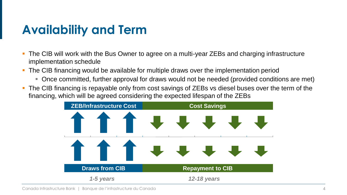### **Availability and Term**

- The CIB will work with the Bus Owner to agree on a multi-year ZEBs and charging infrastructure implementation schedule
- The CIB financing would be available for multiple draws over the implementation period
	- Once committed, further approval for draws would not be needed (provided conditions are met)
- The CIB financing is repayable only from cost savings of ZEBs vs diesel buses over the term of the financing, which will be agreed considering the expected lifespan of the ZEBs

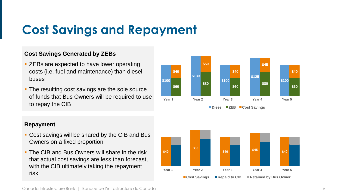## **Cost Savings and Repayment**

### **Cost Savings Generated by ZEBs**

- ZEBs are expected to have lower operating costs (i.e. fuel and maintenance) than diesel buses
- The resulting cost savings are the sole source of funds that Bus Owners will be required to use to repay the CIB

#### **\$100 \$130 \$100 \$125 \$100 \$60 \$80 \$60 \$80 \$60 \$40 \$50 \$40 \$45 \$40 Year 1 Year 2 Year 3 Year 4 Year 5 Diesel ZEB Cost Savings**

### **Repayment**

- Cost savings will be shared by the CIB and Bus Owners on a fixed proportion
- **The CIB and Bus Owners will share in the risk** that actual cost savings are less than forecast, with the CIB ultimately taking the repayment risk

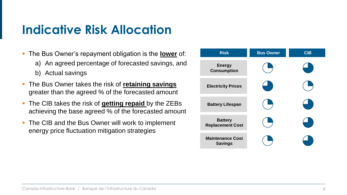### **Indicative Risk Allocation**

- The Bus Owner's repayment obligation is the **lower** of:
	- a) An agreed percentage of forecasted savings, and
	- b) Actual savings
- The Bus Owner takes the risk of **retaining savings**  greater than the agreed % of the forecasted amount
- The CIB takes the risk of **getting repaid** by the ZEBs achieving the base agreed % of the forecasted amount
- The CIB and the Bus Owner will work to implement energy price fluctuation mitigation strategies

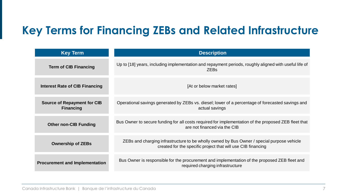### **Key Terms for Financing ZEBs and Related Infrastructure**

| <b>Key Term</b>                                        | <b>Description</b>                                                                                                                                         |
|--------------------------------------------------------|------------------------------------------------------------------------------------------------------------------------------------------------------------|
| <b>Term of CIB Financing</b>                           | Up to [18] years, including implementation and repayment periods, roughly aligned with useful life of<br><b>ZEBs</b>                                       |
| <b>Interest Rate of CIB Financing</b>                  | [At or below market rates]                                                                                                                                 |
| <b>Source of Repayment for CIB</b><br><b>Financing</b> | Operational savings generated by ZEBs vs. diesel; lower of a percentage of forecasted savings and<br>actual savings                                        |
| <b>Other non-CIB Funding</b>                           | Bus Owner to secure funding for all costs required for implementation of the proposed ZEB fleet that<br>are not financed via the CIB                       |
| <b>Ownership of ZEBs</b>                               | ZEBs and charging infrastructure to be wholly owned by Bus Owner / special purpose vehicle<br>created for the specific project that will use CIB financing |
| <b>Procurement and Implementation</b>                  | Bus Owner is responsible for the procurement and implementation of the proposed ZEB fleet and<br>required charging infrastructure                          |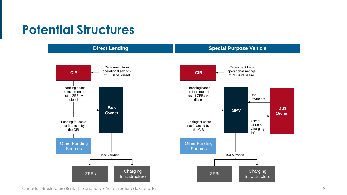### **Potential Structures**



Canada Infrastructure Bank | Banque de l'infrastructure du Canada